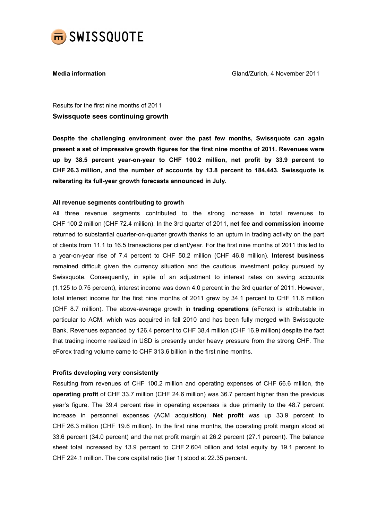

Media information Gland/Zurich, 4 November 2011

Results for the first nine months of 2011 Swissquote sees continuing growth

Despite the challenging environment over the past few months, Swissquote can again present a set of impressive growth figures for the first nine months of 2011. Revenues were up by 38.5 percent year-on-year to CHF 100.2 million, net profit by 33.9 percent to CHF 26.3 million, and the number of accounts by 13.8 percent to 184,443. Swissquote is reiterating its full-year growth forecasts announced in July.

# All revenue segments contributing to growth

All three revenue segments contributed to the strong increase in total revenues to CHF 100.2 million (CHF 72.4 million). In the 3rd quarter of 2011, net fee and commission income returned to substantial quarter-on-quarter growth thanks to an upturn in trading activity on the part of clients from 11.1 to 16.5 transactions per client/year. For the first nine months of 2011 this led to a year-on-year rise of 7.4 percent to CHF 50.2 million (CHF 46.8 million). Interest business remained difficult given the currency situation and the cautious investment policy pursued by Swissquote. Consequently, in spite of an adjustment to interest rates on saving accounts (1.125 to 0.75 percent), interest income was down 4.0 percent in the 3rd quarter of 2011. However, total interest income for the first nine months of 2011 grew by 34.1 percent to CHF 11.6 million (CHF 8.7 million). The above-average growth in trading operations (eForex) is attributable in particular to ACM, which was acquired in fall 2010 and has been fully merged with Swissquote Bank. Revenues expanded by 126.4 percent to CHF 38.4 million (CHF 16.9 million) despite the fact that trading income realized in USD is presently under heavy pressure from the strong CHF. The eForex trading volume came to CHF 313.6 billion in the first nine months.

# Profits developing very consistently

Resulting from revenues of CHF 100.2 million and operating expenses of CHF 66.6 million, the operating profit of CHF 33.7 million (CHF 24.6 million) was 36.7 percent higher than the previous year's figure. The 39.4 percent rise in operating expenses is due primarily to the 48.7 percent increase in personnel expenses (ACM acquisition). Net profit was up 33.9 percent to CHF 26.3 million (CHF 19.6 million). In the first nine months, the operating profit margin stood at 33.6 percent (34.0 percent) and the net profit margin at 26.2 percent (27.1 percent). The balance sheet total increased by 13.9 percent to CHF 2.604 billion and total equity by 19.1 percent to CHF 224.1 million. The core capital ratio (tier 1) stood at 22.35 percent.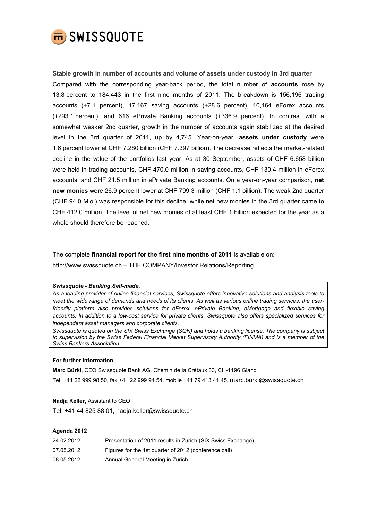

Stable growth in number of accounts and volume of assets under custody in 3rd quarter Compared with the corresponding year-back period, the total number of accounts rose by 13.8 percent to 184,443 in the first nine months of 2011. The breakdown is 156,196 trading accounts (+7.1 percent), 17,167 saving accounts (+28.6 percent), 10,464 eForex accounts (+293.1 percent), and 616 ePrivate Banking accounts (+336.9 percent). In contrast with a somewhat weaker 2nd quarter, growth in the number of accounts again stabilized at the desired level in the 3rd quarter of 2011, up by 4,745. Year-on-year, assets under custody were 1.6 percent lower at CHF 7.280 billion (CHF 7.397 billion). The decrease reflects the market-related decline in the value of the portfolios last year. As at 30 September, assets of CHF 6.658 billion were held in trading accounts, CHF 470.0 million in saving accounts, CHF 130.4 million in eForex accounts, and CHF 21.5 million in ePrivate Banking accounts. On a year-on-year comparison, net new monies were 26.9 percent lower at CHF 799.3 million (CHF 1.1 billion). The weak 2nd quarter (CHF 94.0 Mio.) was responsible for this decline, while net new monies in the 3rd quarter came to CHF 412.0 million. The level of net new monies of at least CHF 1 billion expected for the year as a whole should therefore be reached.

The complete financial report for the first nine months of 2011 is available on: http://www.swissquote.ch – THE COMPANY/Investor Relations/Reporting

### Swissquote - Banking.Self-made.

As a leading provider of online financial services, Swissquote offers innovative solutions and analysis tools to meet the wide range of demands and needs of its clients. As well as various online trading services, the userfriendly platform also provides solutions for eForex, ePrivate Banking, eMortgage and flexible saving accounts. In addition to a low-cost service for private clients, Swissquote also offers specialized services for independent asset managers and corporate clients.

Swissquote is quoted on the SIX Swiss Exchange (SQN) and holds a banking license. The company is subject to supervision by the Swiss Federal Financial Market Supervisory Authority (FINMA) and is a member of the Swiss Bankers Association.

## For further information

Marc Bürki, CEO Swissquote Bank AG, Chemin de la Crétaux 33, CH-1196 Gland

Tel. +41 22 999 98 50, fax +41 22 999 94 54, mobile +41 79 413 41 45, marc.burki@swissquote.ch

### Nadja Keller, Assistant to CEO

Tel. +41 44 825 88 01, nadja.keller@swissquote.ch

### Agenda 2012

| 24.02.2012 | Presentation of 2011 results in Zurich (SIX Swiss Exchange) |
|------------|-------------------------------------------------------------|
| 07.05.2012 | Figures for the 1st quarter of 2012 (conference call)       |
| 08.05.2012 | Annual General Meeting in Zurich                            |